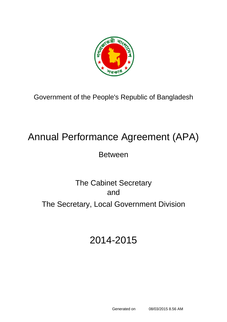

Government of the People's Republic of Bangladesh

# Annual Performance Agreement (APA)

Between

The Cabinet Secretary and The Secretary, Local Government Division

# 2014-2015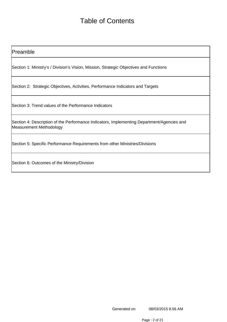# Table of Contents

| Preamble                                                                                                              |
|-----------------------------------------------------------------------------------------------------------------------|
| Section 1: Ministry's / Division's Vision, Mission, Strategic Objectives and Functions                                |
| Section 2: Strategic Objectives, Activities, Performance Indicators and Targets                                       |
| Section 3: Trend values of the Performance Indicators                                                                 |
| Section 4: Description of the Performance Indicators, Implementing Department/Agencies and<br>Measurement Methodology |
| Section 5: Specific Performance Requirements from other Ministries/Divisions                                          |
| Section 6: Outcomes of the Ministry/Division                                                                          |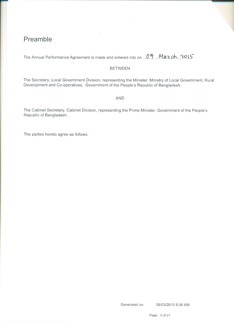### Preamble

The Annual Performance Agreement is made and entered into on ... 0.9 May ch. 2015

#### **BETWEEN**

The Secretary, Local Government Division, representing the Minister, Ministry of Local Government, Rural Development and Co-operatives, Government of the People's Republic of Bangladesh.

#### **AND**

The Cabinet Secretary, Cabinet Division, representing the Prime Minister, Government of the People's Republic of Bangladesh.

The parties hereto agree as follows: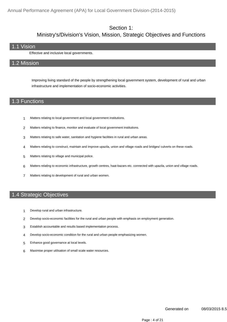#### Section 1: Ministry's/Division's Vision, Mission, Strategic Objectives and Functions

#### 1.1 Vision

Effective and inclusive local governments.

#### 1.2 Mission

Improving living standard of the people by strengthening local government system, development of rural and urban infrastructure and implementation of socio-economic activities.

#### 1.3 Functions

- 1 Matters relating to local government and local government institutions.
- 2 Matters relating to finance, monitor and evaluate of local government institutions.
- 3 Matters relating to safe water, sanitation and hygiene facilities in rural and urban areas.
- 4 Matters relating to construct, maintain and improve upazila, union and village roads and bridges/ culverts on these roads.
- 5 Matters relating to village and municipal police.
- 6 Matters relatlng to economic infrastructure, growth centres, haat-bazars etc. connected with upazila, union and village roads.
- 7 Matters relating to development of rural and urban women.

#### 1.4 Strategic Objectives

- 1 Develop rural and urban infrastructure.
- 2 Develop socio-economic facilities for the rural and urban people with emphasis on employment generation.
- 3 Establish accountable and results based implementation process.
- 4 Develop socio-economic condition for the rural and urban people emphasizing women.
- 5 Enhance good governance at local levels.
- 6 Maximise proper utilisation of small scale water resources.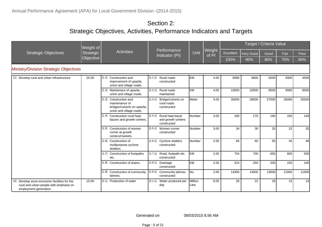|                                                                                                                    | Weight of |                                                                                                         |                                                               |                  |                 |           |           | Target / Criteria Value |       |       |
|--------------------------------------------------------------------------------------------------------------------|-----------|---------------------------------------------------------------------------------------------------------|---------------------------------------------------------------|------------------|-----------------|-----------|-----------|-------------------------|-------|-------|
| <b>Strategic Objectives</b>                                                                                        | Strategic | <b>Activities</b>                                                                                       | Performance<br>Indicator (PI)                                 | Unit             | Weight<br>of PI | Excellent | Very Good | Good                    | Fair  | Poor  |
|                                                                                                                    | Objective |                                                                                                         |                                                               |                  |                 | 100%      | 90%       | 80%                     | 70%   | 60%   |
| Ministry/Division Strategic Objectives                                                                             |           |                                                                                                         |                                                               |                  |                 |           |           |                         |       |       |
| [1] Develop rural and urban infrastructure.                                                                        | 25.00     | Construction and<br>[1.1]<br>improvement of upazila,<br>union and village roads.                        | $[1.1.1]$ Rural roads<br>constructed                          | KM               | 4.00            | 6080      | 5800      | 5500                    | 5000  | 4500  |
|                                                                                                                    |           | [1.2] Maintenace of upazila,<br>union and village roads.                                                | [1.2.1] Rural roads<br>maintained                             | <b>KM</b>        | 4.00            | 10500     | 10000     | 9500                    | 9000  | 8500  |
|                                                                                                                    |           | Construction and<br>[1.3]<br>maintenance of<br>bridges/culverts on upazila,<br>union and village roads. | [1.3.1] Bridge/culverts on<br>rural roads<br>constructed      | Meter            | 3.00            | 30000     | 28000     | 27000                   | 26000 | 25000 |
|                                                                                                                    |           | Construction rural haat-<br>[1.4]<br>bazars and growth centers.                                         | [1.4.1] Rural haat-bazar<br>and growth centers<br>constructed | Number           | 3.00            | 180       | 170       | 160                     | 150   | 140   |
|                                                                                                                    |           | [1.5] Construction of women<br>corner at growth<br>centers/markets.                                     | [1.5.1] Women corner<br>constructed                           | Number           | 3.00            | 34        | 30        | 25                      | 22    | 20    |
|                                                                                                                    |           | [1.6]<br>Construction of<br>multipurpose cyclone<br>shelters.                                           | [1.6.1] Cyclone shelters<br>constructed                       | Number           | 2.00            | 66        | 60        | 50                      | 45    | 40    |
|                                                                                                                    |           | Construction of footpaths<br>[1.7]<br>etc.                                                              | [1.7.1] Road, footpath etc.<br>constructed                    | KM               | 2.00            | 754       | 700       | 650                     | 600   | 500   |
|                                                                                                                    |           | Construction of drains.<br>[1.8]                                                                        | $[1.8.1]$ Drainage<br>constructed                             | KM               | 2.00            | 310       | 250       | 200                     | 150   | 100   |
|                                                                                                                    |           | Construction of community<br>[1.9]<br>latrines.                                                         | [1.9.1] Community latrines<br>constructed                     | No.              | 2.00            | 14300     | 14000     | 13000                   | 12000 | 11000 |
| [2] Develop socio-economic facilities for the<br>rural and urban people with emphasis on<br>employment generation. | 15.00     | [2.1] Production of water                                                                               | [2.1.1] Water produced per<br>day                             | Million<br>Litre | 8.00            | 26        | 22        | 18                      | 15    | 13    |

Generated on 08/03/2015 8.56 AM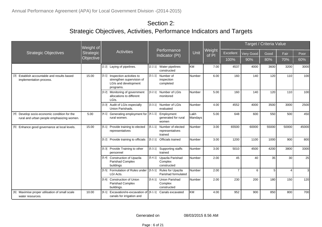|                                                                                           | Weight of |                                                                                                     |         |                                                    |                 |                 |                  |           | Target / Criteria Value |          |              |
|-------------------------------------------------------------------------------------------|-----------|-----------------------------------------------------------------------------------------------------|---------|----------------------------------------------------|-----------------|-----------------|------------------|-----------|-------------------------|----------|--------------|
| <b>Strategic Objectives</b>                                                               | Strategic | <b>Activities</b>                                                                                   |         | Performance<br>Indicator (PI)                      | Unit            | Weight<br>of PI | <b>Excellent</b> | Very Good | Good                    | Fair     | Poor         |
|                                                                                           | Objective |                                                                                                     |         |                                                    |                 |                 | 100%             | 90%       | 80%                     | 70%      | 60%          |
|                                                                                           |           | [2.2] Laying of pipelines.                                                                          |         | [2.2.1] Water pipelines<br>constructed             | <b>KM</b>       | 7.00            | 4537             | 4000      | 3600                    | 3200     | 3000         |
| [3] Establish accountable and results based<br>implementation process.                    | 15.00     | [3.1]<br>Inspection activities to<br>strengthen supervision of<br>LGIs and development<br>programs. |         | [3.1.1] Number of<br>inspection<br>completed       | Number          | 6.00            | 160              | 140       | 120                     | 110      | 100          |
|                                                                                           |           | Monitoring of government<br>[3.2]<br>allocations to different<br>LGIs.                              | [3.2.1] | Number of LGIs<br>monitored                        | Number          | 5.00            | 160              | 140       | 120                     | 110      | 100          |
|                                                                                           |           | Audit of LGIs especially<br>[3.3]<br>Union Parishads.                                               |         | [3.3.1] Number of LGIs<br>evaluated                | Number          | 4.00            | 4552             | 4000      | 3500                    | 3000     | 2500         |
| [4] Develop socio-economic condition for the<br>rural and urban people emphasizing women. | 5.00      | [4.1]<br>Generating employment for [[4.1.1]<br>rural women.                                         |         | Employment<br>generated for rural<br>women         | Lakh<br>Mandays | 5.00            | 648              | 600       | 550                     | 500      | 450          |
| [5] Enhance good governance at local levels.                                              | 15.00     | [5.1]<br>Provide training to elected<br>representatives                                             | [5.1.1] | Number of elected<br>representatives<br>trained    | Number          | 3.00            | 65500            | 60000     | 55000                   | 50000    | 45000        |
|                                                                                           |           | [5.2] Provide training to officials                                                                 |         | [5.2.1] Officials trained                          | Number          | 3.00            | 1200             | 1100      | 1000                    | 900      | 800          |
|                                                                                           |           | [5.3] Provide Training to other<br>personnel                                                        | [5.3.1] | Supporting staffs<br>trained                       | Number          | 3.00            | 5010             | 4500      | 4200                    | 3800     | 3300         |
|                                                                                           |           | [5.4] Construction of Upazila<br><b>Parishad Complex</b><br>buildings                               |         | [5.4.1] Upazila Parishad<br>Complex<br>constructed | Number          | 2.00            | 45               | 40        | 35                      | 30       | 25           |
|                                                                                           |           | Formulation of Rules under<br>[5.5]<br>LGI Acts.                                                    | [5.5.1] | Rules for Upazila<br>Parishad formulated           | Number          | 2.00            | $\overline{7}$   | 6         | 5                       | $\Delta$ | $\mathbf{3}$ |
|                                                                                           |           | [5.6] Construction of Union<br><b>Parishad Complex</b><br>buildings.                                |         | [5.6.1] Union Parishad<br>Complex<br>constructed   | <b>Number</b>   | 2.00            | 230              | 200       | 180                     | 150      | 120          |
| [6] Maximise proper utilisation of small scale<br>water resources.                        | 10.00     | [6.1]<br>Excavation/re-excavation of<br>canals for irrigation and                                   |         | [6.1.1] Canals excavated                           | KM              | 4.00            | 952              | 900       | 850                     | 800      | 700          |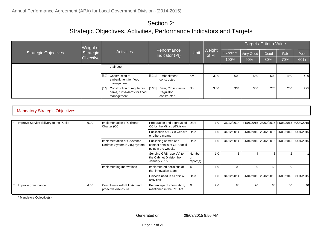|                             | Weight of<br>Strategic | <b>Activities</b>                                                                | Performance<br>Indicator (PI)                           |      | Weight<br>of PI | Target / Criteria Value |           |      |      |      |
|-----------------------------|------------------------|----------------------------------------------------------------------------------|---------------------------------------------------------|------|-----------------|-------------------------|-----------|------|------|------|
| <b>Strategic Objectives</b> |                        |                                                                                  |                                                         | Unit |                 | <b>Excellent</b>        | Very Good | Good | Fair | Poor |
|                             | Objective              |                                                                                  |                                                         |      |                 | 100%                    | 90%       | 80%  | 70%  | 60%  |
|                             |                        | drainage.                                                                        |                                                         |      |                 |                         |           |      |      |      |
|                             |                        | [6.2]<br>Construction of<br>embankment for flood<br>management.                  | Embankment<br>[6.2.1]<br>constructed                    | IKM  | 3.00            | 600                     | 550       | 500  | 450  | 400  |
|                             |                        | Construction of regulators,<br>[6.3]<br>dams, cross-dams for flood<br>management | [6.3.1]<br>Dam, Cross-dam &<br>Regulator<br>constructed | INo. | 3.00            | 334                     | 300       | 275  | 250  | 225  |

#### Mandatory Strategic Objectives

| Improve Service delivery to the Public | 6.00 | Implementation of Citizens'<br>Charter (CC)                | Preparation and approval of<br>CC by the Ministry/Division                   | <b>IDate</b>                     | 1.0 | 31/12/2014 | 31/01/2015 28/02/2015 31/03/2015 30/04/2015 |    |    |    |
|----------------------------------------|------|------------------------------------------------------------|------------------------------------------------------------------------------|----------------------------------|-----|------------|---------------------------------------------|----|----|----|
|                                        |      |                                                            | Publication of CC in website Date<br>or others means                         |                                  | 1.0 | 31/12/2014 | 31/01/2015 28/02/2015 31/03/2015 30/04/2015 |    |    |    |
|                                        |      | Implementation of Grievance<br>Redress System (GRS) system | Publishing names and<br>contact details of GRS focal<br>point in the website | Date                             | 1.0 | 31/12/2014 | 31/01/2015 28/02/2015 31/03/2015 30/04/2015 |    |    |    |
|                                        |      |                                                            | Sending GRS report(s) to<br>the Cabinet Division from<br>January 2015        | Number<br>οt<br>$ $ report $(s)$ | 1.0 | 5          |                                             |    |    |    |
|                                        |      | Implementing Innovations                                   | Implemented decisions of<br>the innovation team                              | <u>l</u> %                       | 1.0 | 100        | 80                                          | 50 | 30 |    |
|                                        |      |                                                            | Unicode used in all official<br>activities                                   | Date                             | 1.0 | 31/12/2014 | 31/01/2015 28/02/2015 31/03/2015 30/04/2015 |    |    |    |
| Improve governance                     | 4.00 | Compliance with RTI Act and<br>proactive disclosure        | Percentage of information,<br>mentioned in the RTI Act                       | $\frac{9}{6}$                    | 2.0 | 80         | 70                                          | 60 | 50 | 40 |

\* Mandatory Objective(s)

Generated on 08/03/2015 8.56 AM

Page : 7 of 21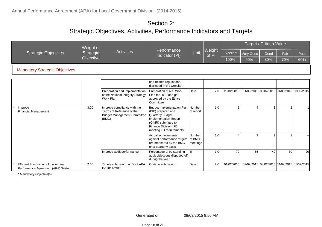|                                                                                  | Weight of |                                                                                                         |                                                                                                                                                                                        |                              |                 |                  | Target / Criteria Value |                |                                  |      |
|----------------------------------------------------------------------------------|-----------|---------------------------------------------------------------------------------------------------------|----------------------------------------------------------------------------------------------------------------------------------------------------------------------------------------|------------------------------|-----------------|------------------|-------------------------|----------------|----------------------------------|------|
| <b>Strategic Objectives</b>                                                      | Strategic | <b>Activities</b>                                                                                       | Performance<br>Indicator (PI)                                                                                                                                                          | Unit                         | Weight<br>of PI | <b>Excellent</b> | Very Good               | Good           | Fair                             | Poor |
|                                                                                  | Objective |                                                                                                         |                                                                                                                                                                                        |                              |                 | 100%             | 90%                     | 80%            | 70%                              | 60%  |
| <b>Mandatory Strategic Objectives</b>                                            |           |                                                                                                         |                                                                                                                                                                                        |                              |                 |                  |                         |                |                                  |      |
|                                                                                  |           |                                                                                                         | and related regulations,<br>disclosed in the website                                                                                                                                   |                              |                 |                  |                         |                |                                  |      |
|                                                                                  |           | Preparation and Implementation<br>of the National Integrity Strategy<br>Work Plan                       | Preparation of NIS Work<br>Plan for 2015 and get<br>approved by the Ethics<br>Committee                                                                                                | Date                         | 2.0             | 28/02/2015       | 31/03/2015              |                | 80/04/2015 31/05/2015 30/06/2015 |      |
| Improve<br><b>Financial Management</b>                                           | 3.00      | Improve compliance with the<br>Terms of Reference of the<br><b>Budget Management Committee</b><br>(BMC) | Budget Implementation Plan Number<br>(BIP) prepared and<br><b>Quarterly Budget</b><br>Implementation Report<br>(QIMR) submitted to<br>Finance Division (FD)<br>meeting FD requirements | of report                    | 1.0             | 5                | $\overline{4}$          | 3              | $\overline{2}$                   |      |
|                                                                                  |           |                                                                                                         | Actual achievements<br>against performance targets<br>are monitored by the BMC<br>on a quarterly basis                                                                                 | Number<br>of BMC<br>meetings | 1.0             | Δ                | 3                       | $\mathfrak{p}$ |                                  |      |
|                                                                                  |           | Improve audit performance                                                                               | Percentage of outstanding<br>audit objections disposed off<br>during the year                                                                                                          | %                            | 1.0             | 70               | 55                      | 40             | 30                               | 20   |
| <b>Efficient Functioning of the Annual</b><br>Performance Agreement (APA) System | 2.00      | Timely submission of Draft APA<br>for 2014-2015                                                         | On-time submission                                                                                                                                                                     | Date                         | 2.0             | 01/02/2015       | 02/02/2015              |                | 03/02/2015 04/02/2015 05/02/2015 |      |

\* Mandatory Objective(s)

Generated on 08/03/2015 8.56 AM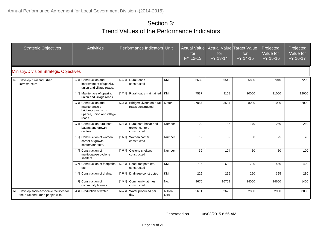### Section 3: Trend Values of the Performance Indicators

| <b>Strategic Objectives</b>                                                     | <b>Activities</b>                                                                                       | Performance Indicators                                        | Unit             | Actual Value<br>for<br>FY 12-13 | for<br>FY 13-14 | Actual Value Target Value<br>for<br>FY 14-15 | Projected<br>Value for<br>FY 15-16 | Projected<br>Value for<br>FY 16-17 |
|---------------------------------------------------------------------------------|---------------------------------------------------------------------------------------------------------|---------------------------------------------------------------|------------------|---------------------------------|-----------------|----------------------------------------------|------------------------------------|------------------------------------|
| Ministry/Division Strategic Objectives                                          |                                                                                                         |                                                               |                  |                                 |                 |                                              |                                    |                                    |
| [1] Develop rural and urban<br>infrastructure.                                  | [1.1] Construction and<br>improvement of upazila,<br>union and village roads.                           | [1.1.1] Rural roads<br>constructed                            | <b>KM</b>        | 6639                            | 6549            | 5800                                         | 7040                               | 7200                               |
|                                                                                 | [1.2] Maintenace of upazila,<br>union and village roads.                                                | [1.2.1] Rural roads maintained                                | KM               | 7537                            | 9108            | 10000                                        | 11000                              | 12000                              |
|                                                                                 | [1.3] Construction and<br>maintenance of<br>bridges/culverts on<br>upazila, union and village<br>roads. | [1.3.1] Bridge/culverts on rural<br>roads constructed         | Meter            | 27057                           | 23534           | 28000                                        | 31000                              | 32000                              |
|                                                                                 | [1.4] Construction rural haat-<br>bazars and growth<br>centers.                                         | [1.4.1] Rural haat-bazar and<br>growth centers<br>constructed | Number           | 120                             | 136             | 170                                          | 250                                | 280                                |
|                                                                                 | [1.5] Construction of women<br>corner at growth<br>centers/markets.                                     | [1.5.1]<br>Women corner<br>constructed                        | Number           | 12                              | 32              | 30                                           | 25                                 | 20                                 |
|                                                                                 | [1.6] Construction of<br>multipurpose cyclone<br>shelters.                                              | [1.6.1] Cyclone shelters<br>constructed                       | Number           | 39                              | 104             | 60                                           | 60                                 | 100                                |
|                                                                                 | [1.7] Construction of footpaths<br>etc.                                                                 | [1.7.1] Road, footpath etc.<br>constructed                    | <b>KM</b>        | 716                             | 608             | 700                                          | 450                                | 400                                |
|                                                                                 | [1.8] Construction of drains.                                                                           | [1.8.1] Drainage constructed                                  | KM               | 226                             | 255             | 250                                          | 325                                | 280                                |
|                                                                                 | [1.9] Construction of<br>community latrines.                                                            | [1.9.1] Community latrines<br>constructed                     | No.              | 9670                            | 16759           | 14000                                        | 14600                              | 1400                               |
| Develop socio-economic facilities for<br>[2]<br>the rural and urban people with | [2.1] Production of water                                                                               | [2.1.1] Water produced per<br>day                             | Million<br>Litre | 2611                            | 2679            | 2800                                         | 2900                               | 3000                               |

Generated on 08/03/2015 8.56 AM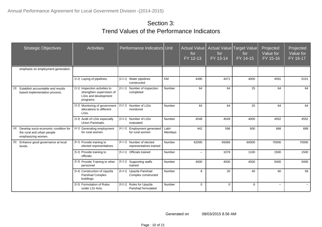### Section 3: Trend Values of the Performance Indicators

| <b>Strategic Objectives</b>                                                                  | <b>Activities</b>                                                                                | Performance Indicators Unit                          |                 | <b>Actual Value</b><br>for<br>FY 12-13 | for<br>FY 13-14 | Actual Value Target Value<br>for<br>FY 14-15 | Projected<br>Value for<br>$FT$ 15-16 | Projected<br>Value for<br>FY 16-17 |
|----------------------------------------------------------------------------------------------|--------------------------------------------------------------------------------------------------|------------------------------------------------------|-----------------|----------------------------------------|-----------------|----------------------------------------------|--------------------------------------|------------------------------------|
| emphasis on employment generation.                                                           |                                                                                                  |                                                      |                 |                                        |                 |                                              |                                      |                                    |
|                                                                                              | [2.2] Laying of pipelines.                                                                       | [2.2.1]<br>Water pipelines<br>constructed            | <b>KM</b>       | 4490                                   | 4471            | 4000                                         | 4591                                 | 5151                               |
| [3] Establish accountable and results<br>based implementation process.                       | [3.1] Inspection activities to<br>strengthen supervision of<br>LGIs and development<br>programs. | [3.1.1] Number of inspection<br>completed            | Number          | 64                                     | 64              | 25                                           | 64                                   | 64                                 |
|                                                                                              | [3.2] Monitoring of government<br>allocations to different<br>LGIs.                              | [3.2.1] Number of LGIs<br>monitored                  | Number          | 64                                     | 64              | 25                                           | 64                                   | 64                                 |
|                                                                                              | [3.3] Audit of LGIs especially<br>Union Parishads.                                               | [3.3.1] Number of LGIs<br>evaluated                  | Number          | 4548                                   | 4549            | 4000                                         | 4552                                 | 4552                               |
| [4] Develop socio-economic condition for<br>the rural and urban people<br>emphasizing women. | [4.1] Generating employment<br>for rural women.                                                  | [4.1.1] Employment generated<br>for rural women      | Lakh<br>Mandays | 442                                    | 596             | 600                                          | 668                                  | 689                                |
| [5] Enhance good governance at local<br>levels.                                              | [5.1] Provide training to<br>elected representatives                                             | [5.1.1] Number of elected<br>representatives trained | Number          | 62000                                  | 65066           | 60000                                        | 70000                                | 70000                              |
|                                                                                              | [5.2] Provide training to<br>officials                                                           | [5.2.1] Officials trained                            | Number          | $\overline{\phantom{a}}$               | 1078            | 1100                                         | 1500                                 | 1500                               |
|                                                                                              | [5.3] Provide Training to other<br>personnel                                                     | [5.3.1]<br>Supporting staffs<br>trained              | Number          | 4000                                   | 4500            | 4500                                         | 5000                                 | 5000                               |
|                                                                                              | [5.4] Construction of Upazila<br><b>Parishad Complex</b><br>buildings                            | [5.4.1] Upazila Parishad<br>Complex constructed      | Number          | 8                                      | 20              | 40                                           | 60                                   | 59                                 |
|                                                                                              | [5.5] Formulation of Rules<br>under LGI Acts.                                                    | [5.5.1] Rules for Upazila<br>Parishad formulated     | Number          | $\Omega$                               | $\mathbf 0$     | 6                                            | $\overline{\phantom{a}}$             | $\sim$                             |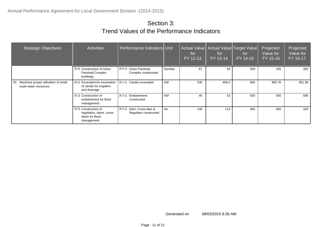### Section 3: Trend Values of the Performance Indicators

| Strategic Objectives                                                  | <b>Activities</b>                                                                 | Performance Indicators Unit                          |        | for<br>FY 12-13 | Actual Value   Actual Value   Target Value  <br>for<br>FY 13-14 | for<br>FY 14-15 | Projected<br>Value for<br>FY 15-16 | Projected<br>Value for<br>FY 16-17 |
|-----------------------------------------------------------------------|-----------------------------------------------------------------------------------|------------------------------------------------------|--------|-----------------|-----------------------------------------------------------------|-----------------|------------------------------------|------------------------------------|
|                                                                       | [5.6] Construction of Union<br><b>Parishad Complex</b><br>buildings.              | [5.6.1]<br>Union Parishad<br>Complex constructed     | Number | 67              | 93                                                              | 200             | 335                                | 350                                |
| [6]<br>Maximise proper utilisation of small<br>scale water resources. | Excavation/re-excavation<br>[6.1]<br>of canals for irrigation<br>and drainage.    | [6.1.1] Canals excavated                             | KM     | 535             | 459.3                                                           | 900             | 965.76                             | 951.99                             |
|                                                                       | [6.2] Construction of<br>embankment for flood<br>management.                      | [6.2.1]<br>Embankment<br>constructed                 | KM     | 45              | 53                                                              | 550             | 655                                | 595                                |
|                                                                       | [6.3] Construction of<br>regulators, dams, cross-<br>dams for flood<br>management | [6.3.1]<br>Dam, Cross-dam &<br>Regulator constructed | No.    | 146             | 113                                                             | 300             | 305                                | 163                                |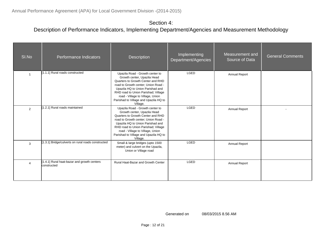| SI.No          | Performance Indicators                                     | <b>Description</b>                                                                                                                                                                                                                                                                                             | Implementing<br>Department/Agencies | Measurement and<br>Source of Data | <b>General Comments</b> |
|----------------|------------------------------------------------------------|----------------------------------------------------------------------------------------------------------------------------------------------------------------------------------------------------------------------------------------------------------------------------------------------------------------|-------------------------------------|-----------------------------------|-------------------------|
|                | [1.1.1] Rural roads constructed                            | Upazila Road - Growth center to<br>Growth center, Upazila Head<br>Quarters to Growth Center and RHD<br>road to Growth center; Union Road -<br>Upazila HQ to Union Parishad and<br>RHD road to Union Parishad; Village<br>road - Village to Village, Union<br>Parishad to Village and Upazila HQ to<br>Village. | LGED                                | <b>Annual Report</b>              |                         |
| $\overline{2}$ | 1.2.1] Rural roads maintained                              | Upazila Road - Growth center to<br>Growth center, Upazila Head<br>Quarters to Growth Center and RHD<br>road to Growth center; Union Road -<br>Upazila HQ to Union Parishad and<br>RHD road to Union Parishad; Village<br>road - Village to Village, Union<br>Parishad to Village and Upazila HQ to<br>Village. | <b>LGED</b>                         | <b>Annual Report</b>              |                         |
| 3              | [1.3.1] Bridge/culverts on rural roads constructed         | Small & large bridges (upto 1500<br>meter) and culvert on the Upazila,<br>Union or Village road                                                                                                                                                                                                                | LGED                                | <b>Annual Report</b>              |                         |
|                | [1.4.1] Rural haat-bazar and growth centers<br>constructed | Rural Haat-Bazar and Growth Center                                                                                                                                                                                                                                                                             | <b>LGED</b>                         | <b>Annual Report</b>              |                         |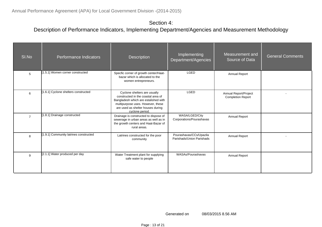| SI.No          | Performance Indicators                 | Description                                                                                                                                                                                             | Implementing<br>Department/Agencies                  | Measurement and<br>Source of Data                 | <b>General Comments</b> |
|----------------|----------------------------------------|---------------------------------------------------------------------------------------------------------------------------------------------------------------------------------------------------------|------------------------------------------------------|---------------------------------------------------|-------------------------|
| 5              | [1.5.1] Women corner constructed       | Specfic corner of growth center/Haat-<br>bazar which is allocated to the<br>women entrepreneurs.                                                                                                        | LGED                                                 | <b>Annual Report</b>                              |                         |
| 6              | [1.6.1] Cyclone shelters constructed   | Cyclone shelters are usually<br>constructed in the coastal area of<br>Bangladesh which are estalished with<br>multipurpose uses. However, these<br>are used as shelter houses during<br>cyclone period. | <b>LGED</b>                                          | Annual Report/Project<br><b>Completion Report</b> |                         |
| $\overline{7}$ | 1.8.1] Drainage constructed            | Drainage is constructed to dispose of<br>sewerage in urban areas as well as in<br>the growth centers and Haat-Bazar of<br>rural areas.                                                                  | WASA/LGED/City<br>Corporations/Pourashavas           | Annual Report                                     |                         |
| 8              | [1.9.1] Community latrines constructed | Latrines constructed for the poor<br>community                                                                                                                                                          | Pourashavas/CCs/Upazila<br>Parishads/Union Parishads | <b>Annual Report</b>                              |                         |
| 9              | [2.1.1] Water produced per day         | Water Treatment plant for supplying<br>safe water to people                                                                                                                                             | WASAs/Pourashavas                                    | <b>Annual Report</b>                              |                         |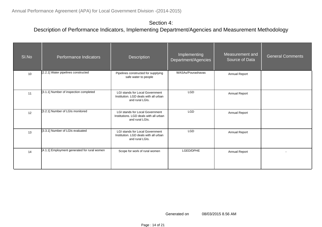| SI.No | Performance Indicators                       | Description                                                                                         | Implementing<br>Department/Agencies | Measurement and<br>Source of Data | <b>General Comments</b> |
|-------|----------------------------------------------|-----------------------------------------------------------------------------------------------------|-------------------------------------|-----------------------------------|-------------------------|
| 10    | [2.2.1] Water pipelines constructed          | Pipelines constructed for supplying<br>safe water to people                                         | WASAs/Pourashavas                   | <b>Annual Report</b>              |                         |
| 11    | [3.1.1] Number of inspection completed       | <b>LGI stands for Local Government</b><br>Institution. LGD deals with all urban<br>and rural LGIs.  | <b>LGD</b>                          | <b>Annual Report</b>              |                         |
| 12    | [3.2.1] Number of LGIs monitored             | <b>LGI stands for Local Government</b><br>Institutions. LGD deals with all urban<br>and rural LGIs. | <b>LGD</b>                          | <b>Annual Report</b>              |                         |
| 13    | [3.3.1] Number of LGIs evaluated             | <b>LGI stands for Local Government</b><br>Institution. LGD deals with all urban<br>and rural LGIs.  | <b>LGD</b>                          | <b>Annual Report</b>              |                         |
| 14    | [4.1.1] Employment generated for rural women | Scope for work of rural women                                                                       | LGED/DPHE                           | <b>Annual Report</b>              |                         |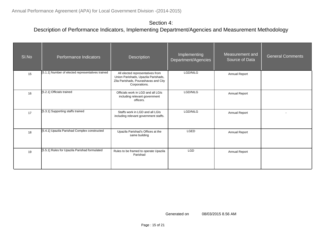| SI.No | Performance Indicators                            | <b>Description</b>                                                                                                               | Implementing<br>Department/Agencies | Measurement and<br>Source of Data | <b>General Comments</b> |
|-------|---------------------------------------------------|----------------------------------------------------------------------------------------------------------------------------------|-------------------------------------|-----------------------------------|-------------------------|
| 15    | [5.1.1] Number of elected representatives trained | All elected representatives from<br>Union Parishads, Upazila Parishads,<br>Zila Parishads, Pourashavas and City<br>Corporations. | LGD/NILG                            | <b>Annual Report</b>              |                         |
| 16    | [5.2.1] Officials trained                         | Officials work in LGD and all LGIs<br>including relevant government<br>officers.                                                 | LGD/NILG                            | <b>Annual Report</b>              |                         |
| 17    | [5.3.1] Supporting staffs trained                 | Staffs work in LGD and all LGIs<br>including relevant government staffs.                                                         | LGD/NILG                            | Annual Report                     |                         |
| 18    | [5.4.1] Upazila Parishad Complex constructed      | Upazila Parishad's Offices at the<br>same building                                                                               | LGED                                | <b>Annual Report</b>              |                         |
| 19    | [5.5.1] Rules for Upazila Parishad formulated     | Rules to be framed to operate Upazila<br>Parishad                                                                                | <b>LGD</b>                          | <b>Annual Report</b>              |                         |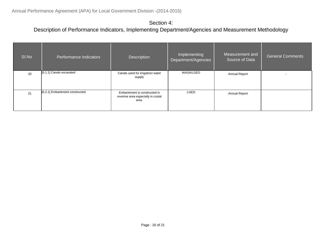| SI.No | Performance Indicators         | <b>Description</b>                                                 | Implementing<br>Department/Agencies | Measurement and<br>Source of Data | <b>General Comments</b> |
|-------|--------------------------------|--------------------------------------------------------------------|-------------------------------------|-----------------------------------|-------------------------|
| 20    | [6.1.1] Canals excavated       | Canals used for irrigation/ water<br>supply                        | <b>WASA/LGED</b>                    | Annual Report                     |                         |
|       |                                |                                                                    |                                     |                                   |                         |
| 21    | [6.2.1] Embankment constructed | Embankment is constructed in<br>reverine area especially in costal | LGED                                | Annual Report                     |                         |
|       |                                | area.                                                              |                                     |                                   |                         |
|       |                                |                                                                    |                                     |                                   |                         |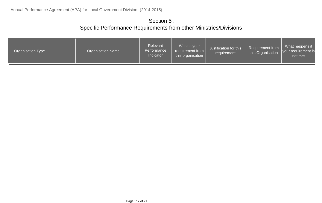# Section 5 : Specific Performance Requirements from other Ministries/Divisions

| Organisation Type | <b>Organisation Name</b> | Relevant<br>Performance<br>Indicator | What is your<br>requirement from  <br>this organisation | Justification for this<br>requirement | Requirement from<br>this Organisation | What happens if<br>vour requirement is<br>not met |
|-------------------|--------------------------|--------------------------------------|---------------------------------------------------------|---------------------------------------|---------------------------------------|---------------------------------------------------|
|-------------------|--------------------------|--------------------------------------|---------------------------------------------------------|---------------------------------------|---------------------------------------|---------------------------------------------------|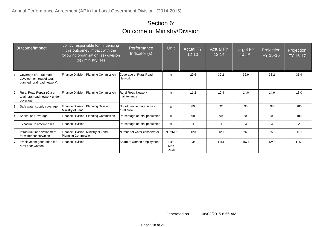# Section 6: Outcome of Ministry/Division

| Outcome/Impact |                                                                                     | Jointly responsible for influencing<br>this outcome / impact with the<br>following organisation (s) / division<br>$(s)$ / ministry(ies) | Performance<br>Indicator (s)              | Unit                | <b>Actual FY</b><br>$12 - 13$ | <b>Actual FY</b><br>$13 - 14$ | <b>Target FY</b><br>$14 - 15$ | Projection<br>FY 15-16 | Projection<br>FY 16-17 |
|----------------|-------------------------------------------------------------------------------------|-----------------------------------------------------------------------------------------------------------------------------------------|-------------------------------------------|---------------------|-------------------------------|-------------------------------|-------------------------------|------------------------|------------------------|
|                | Coverage of Rural road<br>development (out of total<br>planned rural road network). | Finance Division, Planning Commission                                                                                                   | Coverage of Rural Road<br><b>Network</b>  | $\%$                | 29.6                          | 32.2                          | 32.9                          | 33.2                   | 35.9                   |
|                | Rural Road Repair (Out of<br>total rural road network under<br>coverage).           | Finance Division, Planning Commission                                                                                                   | <b>Rural Road Network</b><br>maintenance  | $\%$                | 11.2                          | 12.4                          | 14.0                          | 14.9                   | 18.0                   |
|                | Safe water supply coverage                                                          | Finance Division, Planning Division,<br>Ministry of Land                                                                                | No. of people per source in<br>rural area | $\%$                | 89                            | 92                            | 95                            | 98                     | 100                    |
|                | <b>Sanitation Coverage</b>                                                          | Finance Division, Planning Commssion                                                                                                    | Percentage of total population            | $\%$                | 98                            | 99                            | 100                           | 100                    | 100                    |
|                | Exposure to arsenic risks                                                           | <b>Finance Division</b>                                                                                                                 | Percentage of total population            | $\%$                | 4                             | $\overline{4}$                | 3                             | 3                      | 2                      |
|                | Infrastructure development<br>for water conservation                                | Finance Division, Ministry of Land,<br>Planning Commission                                                                              | Number of water conservator               | Number              | 120                           | 120                           | 266                           | 155                    | 110                    |
|                | Employment generation for<br>rural poor women                                       | <b>Finance Division</b>                                                                                                                 | Share of women employment                 | Lakh<br>Man<br>Days | 934                           | 1151                          | 1577                          | 1248                   | 1152                   |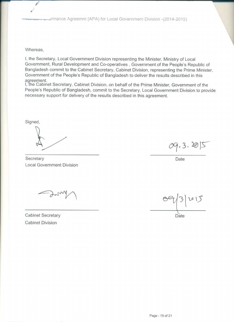muan but University of Network (APA) for Local Government Division - (2014-2015)

#### Whereas,

I, the Secretary, Local Government Division representing the Minister, Ministry of Local Government, Rural Development and Co-operatives, Government of the People's Republic of Bangladesh commit to the Cabinet Secretary, Cabinet Division, representing the Prime Minister, Government of the People's Republic of Bangladesh to deliver the results described in this agreement.

I, the Cabinet Secretary, Cabinet Division, on behalf of the Prime Minister, Government of the People's Republic of Bangladesh, commit to the Secretary, Local Government Division to provide necessary support for delivery of the results described in this agreement.

Signed,

Secretary **Local Government Division** 

**Cabinet Secretary Cabinet Division** 

 $3.40$ 

Date

Date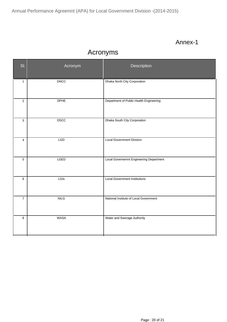### Annex-1

# Acronyms

| SI.            | Acronym     | Description                             |  |  |
|----------------|-------------|-----------------------------------------|--|--|
| $\mathbf{1}$   | DNCC        | Dhaka North City Corporation            |  |  |
| $\sqrt{2}$     | <b>DPHE</b> | Department of Public Health Engineering |  |  |
| $\mathbf{3}$   | <b>DSCC</b> | Dhaka South City Corporation            |  |  |
| $\overline{4}$ | <b>LGD</b>  | <b>Local Government Division</b>        |  |  |
| 5              | LGED        | Local Governemnt Engineering Department |  |  |
| 6              | LGIs        | <b>Local Government Institutions</b>    |  |  |
| $\overline{7}$ | NILG        | National Institute of Local Government  |  |  |
| 8              | <b>WASA</b> | Water and Swerage Authority             |  |  |